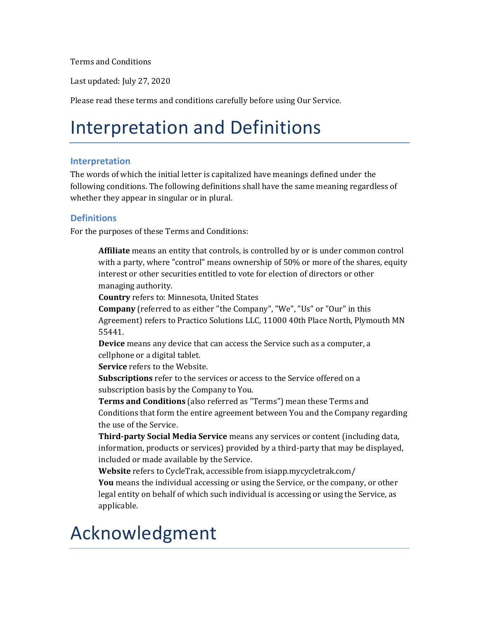Terms and Conditions

Last updated: July 27, 2020

Please read these terms and conditions carefully before using Our Service.

### Interpretation and Definitions

#### **Interpretation**

The words of which the initial letter is capitalized have meanings defined under the following conditions. The following definitions shall have the same meaning regardless of whether they appear in singular or in plural.

#### **Definitions**

For the purposes of these Terms and Conditions:

**Affiliate** means an entity that controls, is controlled by or is under common control with a party, where "control" means ownership of 50% or more of the shares, equity interest or other securities entitled to vote for election of directors or other managing authority.

**Country** refers to: Minnesota, United States

**Company** (referred to as either "the Company", "We", "Us" or "Our" in this Agreement) refers to Practico Solutions LLC, 11000 40th Place North, Plymouth MN 55441.

**Device** means any device that can access the Service such as a computer, a cellphone or a digital tablet.

**Service** refers to the Website.

**Subscriptions** refer to the services or access to the Service offered on a subscription basis by the Company to You.

**Terms and Conditions** (also referred as "Terms") mean these Terms and Conditions that form the entire agreement between You and the Company regarding the use of the Service.

**Third-party Social Media Service** means any services or content (including data, information, products or services) provided by a third-party that may be displayed, included or made available by the Service.

**Website** refers to CycleTrak, accessible from<isiapp.mycycletrak.com/> **You** means the individual accessing or using the Service, or the company, or other legal entity on behalf of which such individual is accessing or using the Service, as applicable.

### Acknowledgment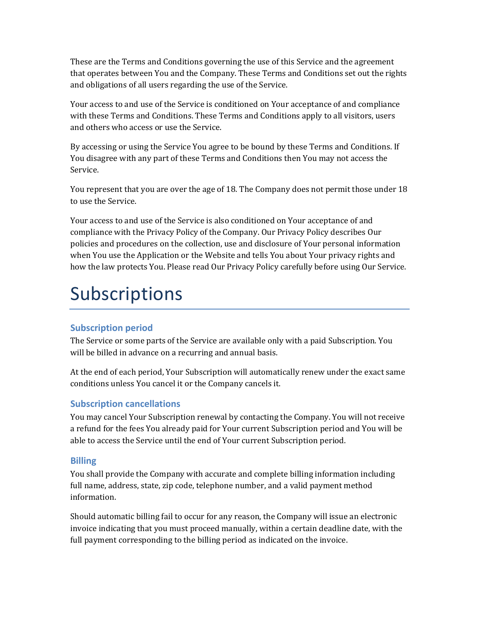These are the Terms and Conditions governing the use of this Service and the agreement that operates between You and the Company. These Terms and Conditions set out the rights and obligations of all users regarding the use of the Service.

Your access to and use of the Service is conditioned on Your acceptance of and compliance with these Terms and Conditions. These Terms and Conditions apply to all visitors, users and others who access or use the Service.

By accessing or using the Service You agree to be bound by these Terms and Conditions. If You disagree with any part of these Terms and Conditions then You may not access the Service.

You represent that you are over the age of 18. The Company does not permit those under 18 to use the Service.

Your access to and use of the Service is also conditioned on Your acceptance of and compliance with the Privacy Policy of the Company. Our Privacy Policy describes Our policies and procedures on the collection, use and disclosure of Your personal information when You use the Application or the Website and tells You about Your privacy rights and how the law protects You. Please read Our Privacy Policy carefully before using Our Service.

## Subscriptions

### **Subscription period**

The Service or some parts of the Service are available only with a paid Subscription. You will be billed in advance on a recurring and annual basis.

At the end of each period, Your Subscription will automatically renew under the exact same conditions unless You cancel it or the Company cancels it.

### **Subscription cancellations**

You may cancel Your Subscription renewal by contacting the Company. You will not receive a refund for the fees You already paid for Your current Subscription period and You will be able to access the Service until the end of Your current Subscription period.

### **Billing**

You shall provide the Company with accurate and complete billing information including full name, address, state, zip code, telephone number, and a valid payment method information.

Should automatic billing fail to occur for any reason, the Company will issue an electronic invoice indicating that you must proceed manually, within a certain deadline date, with the full payment corresponding to the billing period as indicated on the invoice.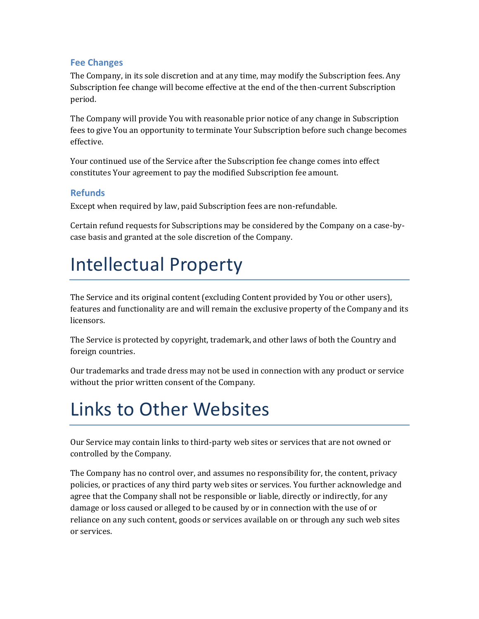#### **Fee Changes**

The Company, in its sole discretion and at any time, may modify the Subscription fees. Any Subscription fee change will become effective at the end of the then-current Subscription period.

The Company will provide You with reasonable prior notice of any change in Subscription fees to give You an opportunity to terminate Your Subscription before such change becomes effective.

Your continued use of the Service after the Subscription fee change comes into effect constitutes Your agreement to pay the modified Subscription fee amount.

#### **Refunds**

Except when required by law, paid Subscription fees are non-refundable.

Certain refund requests for Subscriptions may be considered by the Company on a case-bycase basis and granted at the sole discretion of the Company.

### Intellectual Property

The Service and its original content (excluding Content provided by You or other users), features and functionality are and will remain the exclusive property of the Company and its licensors.

The Service is protected by copyright, trademark, and other laws of both the Country and foreign countries.

Our trademarks and trade dress may not be used in connection with any product or service without the prior written consent of the Company.

## Links to Other Websites

Our Service may contain links to third-party web sites or services that are not owned or controlled by the Company.

The Company has no control over, and assumes no responsibility for, the content, privacy policies, or practices of any third party web sites or services. You further acknowledge and agree that the Company shall not be responsible or liable, directly or indirectly, for any damage or loss caused or alleged to be caused by or in connection with the use of or reliance on any such content, goods or services available on or through any such web sites or services.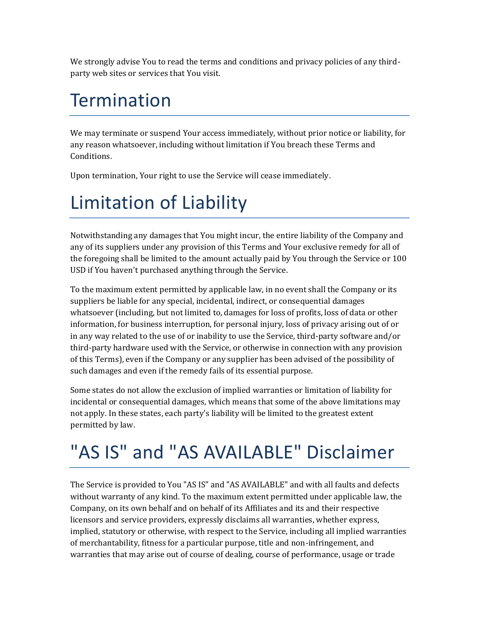We strongly advise You to read the terms and conditions and privacy policies of any thirdparty web sites or services that You visit.

### Termination

We may terminate or suspend Your access immediately, without prior notice or liability, for any reason whatsoever, including without limitation if You breach these Terms and Conditions.

Upon termination, Your right to use the Service will cease immediately.

## Limitation of Liability

Notwithstanding any damages that You might incur, the entire liability of the Company and any of its suppliers under any provision of this Terms and Your exclusive remedy for all of the foregoing shall be limited to the amount actually paid by You through the Service or 100 USD if You haven't purchased anything through the Service.

To the maximum extent permitted by applicable law, in no event shall the Company or its suppliers be liable for any special, incidental, indirect, or consequential damages whatsoever (including, but not limited to, damages for loss of profits, loss of data or other information, for business interruption, for personal injury, loss of privacy arising out of or in any way related to the use of or inability to use the Service, third-party software and/or third-party hardware used with the Service, or otherwise in connection with any provision of this Terms), even if the Company or any supplier has been advised of the possibility of such damages and even if the remedy fails of its essential purpose.

Some states do not allow the exclusion of implied warranties or limitation of liability for incidental or consequential damages, which means that some of the above limitations may not apply. In these states, each party's liability will be limited to the greatest extent permitted by law.

# "AS IS" and "AS AVAILABLE" Disclaimer

The Service is provided to You "AS IS" and "AS AVAILABLE" and with all faults and defects without warranty of any kind. To the maximum extent permitted under applicable law, the Company, on its own behalf and on behalf of its Affiliates and its and their respective licensors and service providers, expressly disclaims all warranties, whether express, implied, statutory or otherwise, with respect to the Service, including all implied warranties of merchantability, fitness for a particular purpose, title and non-infringement, and warranties that may arise out of course of dealing, course of performance, usage or trade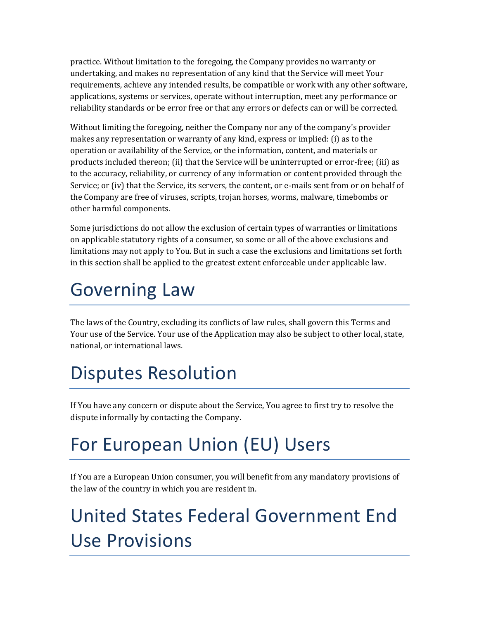practice. Without limitation to the foregoing, the Company provides no warranty or undertaking, and makes no representation of any kind that the Service will meet Your requirements, achieve any intended results, be compatible or work with any other software, applications, systems or services, operate without interruption, meet any performance or reliability standards or be error free or that any errors or defects can or will be corrected.

Without limiting the foregoing, neither the Company nor any of the company's provider makes any representation or warranty of any kind, express or implied: (i) as to the operation or availability of the Service, or the information, content, and materials or products included thereon; (ii) that the Service will be uninterrupted or error-free; (iii) as to the accuracy, reliability, or currency of any information or content provided through the Service; or (iv) that the Service, its servers, the content, or e-mails sent from or on behalf of the Company are free of viruses, scripts, trojan horses, worms, malware, timebombs or other harmful components.

Some jurisdictions do not allow the exclusion of certain types of warranties or limitations on applicable statutory rights of a consumer, so some or all of the above exclusions and limitations may not apply to You. But in such a case the exclusions and limitations set forth in this section shall be applied to the greatest extent enforceable under applicable law.

## Governing Law

The laws of the Country, excluding its conflicts of law rules, shall govern this Terms and Your use of the Service. Your use of the Application may also be subject to other local, state, national, or international laws.

## Disputes Resolution

If You have any concern or dispute about the Service, You agree to first try to resolve the dispute informally by contacting the Company.

# For European Union (EU) Users

If You are a European Union consumer, you will benefit from any mandatory provisions of the law of the country in which you are resident in.

# United States Federal Government End Use Provisions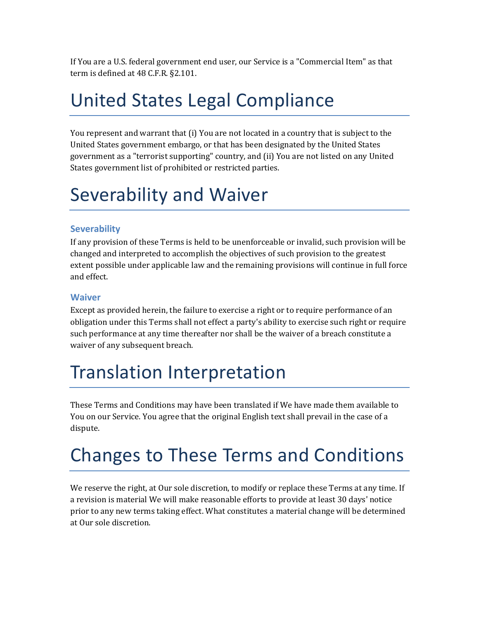If You are a U.S. federal government end user, our Service is a "Commercial Item" as that term is defined at 48 C.F.R. §2.101.

### United States Legal Compliance

You represent and warrant that (i) You are not located in a country that is subject to the United States government embargo, or that has been designated by the United States government as a "terrorist supporting" country, and (ii) You are not listed on any United States government list of prohibited or restricted parties.

## Severability and Waiver

### **Severability**

If any provision of these Terms is held to be unenforceable or invalid, such provision will be changed and interpreted to accomplish the objectives of such provision to the greatest extent possible under applicable law and the remaining provisions will continue in full force and effect.

#### **Waiver**

Except as provided herein, the failure to exercise a right or to require performance of an obligation under this Terms shall not effect a party's ability to exercise such right or require such performance at any time thereafter nor shall be the waiver of a breach constitute a waiver of any subsequent breach.

### Translation Interpretation

These Terms and Conditions may have been translated if We have made them available to You on our Service. You agree that the original English text shall prevail in the case of a dispute.

## Changes to These Terms and Conditions

We reserve the right, at Our sole discretion, to modify or replace these Terms at any time. If a revision is material We will make reasonable efforts to provide at least 30 days' notice prior to any new terms taking effect. What constitutes a material change will be determined at Our sole discretion.